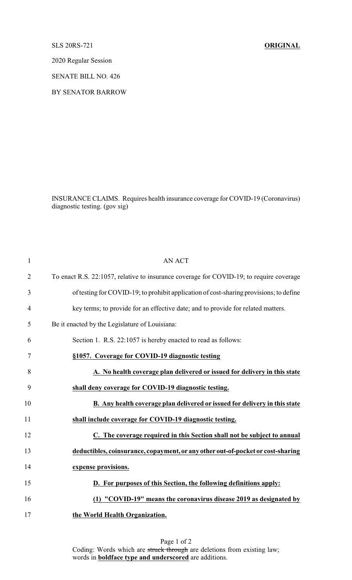SLS 20RS-721 **ORIGINAL**

2020 Regular Session

SENATE BILL NO. 426

BY SENATOR BARROW

INSURANCE CLAIMS. Requires health insurance coverage for COVID-19 (Coronavirus) diagnostic testing. (gov sig)

| $\mathbf{1}$   | <b>AN ACT</b>                                                                           |
|----------------|-----------------------------------------------------------------------------------------|
| $\overline{2}$ | To enact R.S. 22:1057, relative to insurance coverage for COVID-19; to require coverage |
| 3              | of testing for COVID-19; to prohibit application of cost-sharing provisions; to define  |
| $\overline{4}$ | key terms; to provide for an effective date; and to provide for related matters.        |
| 5              | Be it enacted by the Legislature of Louisiana:                                          |
| 6              | Section 1. R.S. 22:1057 is hereby enacted to read as follows:                           |
| 7              | §1057. Coverage for COVID-19 diagnostic testing                                         |
| 8              | A. No health coverage plan delivered or issued for delivery in this state               |
| 9              | shall deny coverage for COVID-19 diagnostic testing.                                    |
| 10             | B. Any health coverage plan delivered or issued for delivery in this state              |
| 11             | shall include coverage for COVID-19 diagnostic testing.                                 |
| 12             | C. The coverage required in this Section shall not be subject to annual                 |
| 13             | deductibles, coinsurance, copayment, or any other out-of-pocket or cost-sharing         |
| 14             | expense provisions.                                                                     |
| 15             | D. For purposes of this Section, the following definitions apply:                       |
| 16             | (1) "COVID-19" means the coronavirus disease 2019 as designated by                      |
| 17             | the World Health Organization.                                                          |

Page 1 of 2 Coding: Words which are struck through are deletions from existing law; words in **boldface type and underscored** are additions.